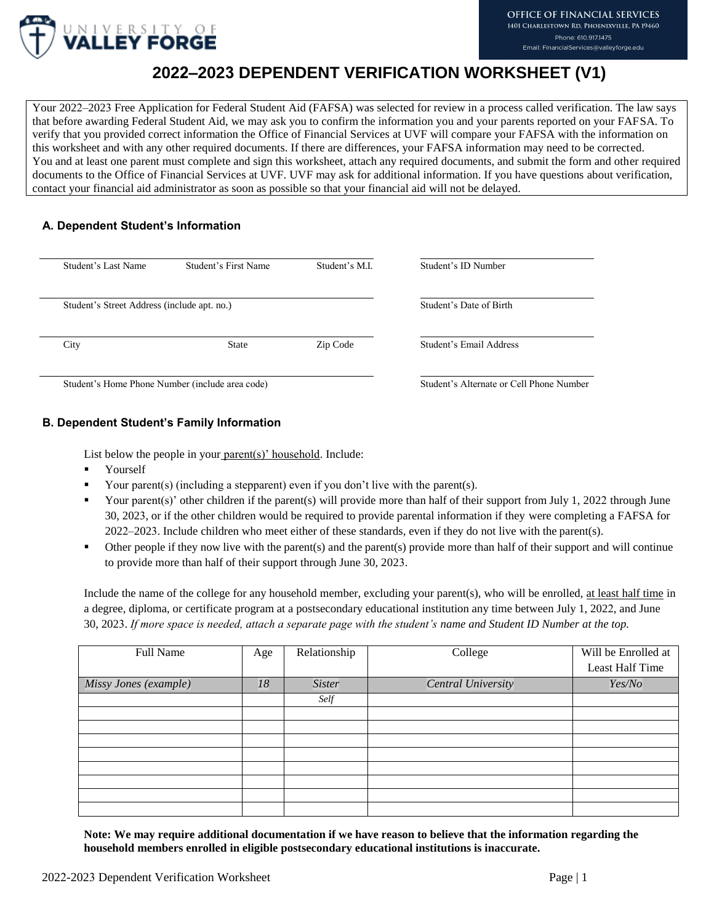

# **2022–2023 DEPENDENT VERIFICATION WORKSHEET (V1)**

Your 2022–2023 Free Application for Federal Student Aid (FAFSA) was selected for review in a process called verification. The law says that before awarding Federal Student Aid, we may ask you to confirm the information you and your parents reported on your FAFSA. To verify that you provided correct information the Office of Financial Services at UVF will compare your FAFSA with the information on this worksheet and with any other required documents. If there are differences, your FAFSA information may need to be corrected. You and at least one parent must complete and sign this worksheet, attach any required documents, and submit the form and other required documents to the Office of Financial Services at UVF. UVF may ask for additional information. If you have questions about verification, contact your financial aid administrator as soon as possible so that your financial aid will not be delayed.

# **A. Dependent Student's Information**

| Student's Last Name                         | Student's First Name | Student's M.I. | Student's ID Number     |  |
|---------------------------------------------|----------------------|----------------|-------------------------|--|
| Student's Street Address (include apt. no.) |                      |                | Student's Date of Birth |  |
| City                                        | <b>State</b>         | Zip Code       | Student's Email Address |  |
|                                             |                      |                |                         |  |

Student's Home Phone Number (include area code)

# **B. Dependent Student's Family Information**

List below the people in your parent(s)' household. Include:

- **Nourself**
- Your parent(s) (including a stepparent) even if you don't live with the parent(s).
- Your parent(s)' other children if the parent(s) will provide more than half of their support from July 1, 2022 through June 30, 2023, or if the other children would be required to provide parental information if they were completing a FAFSA for 2022–2023. Include children who meet either of these standards, even if they do not live with the parent(s).
- Other people if they now live with the parent(s) and the parent(s) provide more than half of their support and will continue to provide more than half of their support through June 30, 2023.

Include the name of the college for any household member, excluding your parent(s), who will be enrolled, at least half time in a degree, diploma, or certificate program at a postsecondary educational institution any time between July 1, 2022, and June 30, 2023. *If more space is needed, attach a separate page with the student's name and Student ID Number at the top.*

| Full Name             | Age | Relationship  | College            | Will be Enrolled at |
|-----------------------|-----|---------------|--------------------|---------------------|
|                       |     |               |                    | Least Half Time     |
| Missy Jones (example) | 18  | <b>Sister</b> | Central University | Yes/No              |
|                       |     | Self          |                    |                     |
|                       |     |               |                    |                     |
|                       |     |               |                    |                     |
|                       |     |               |                    |                     |
|                       |     |               |                    |                     |
|                       |     |               |                    |                     |
|                       |     |               |                    |                     |
|                       |     |               |                    |                     |
|                       |     |               |                    |                     |

**Note: We may require additional documentation if we have reason to believe that the information regarding the household members enrolled in eligible postsecondary educational institutions is inaccurate.**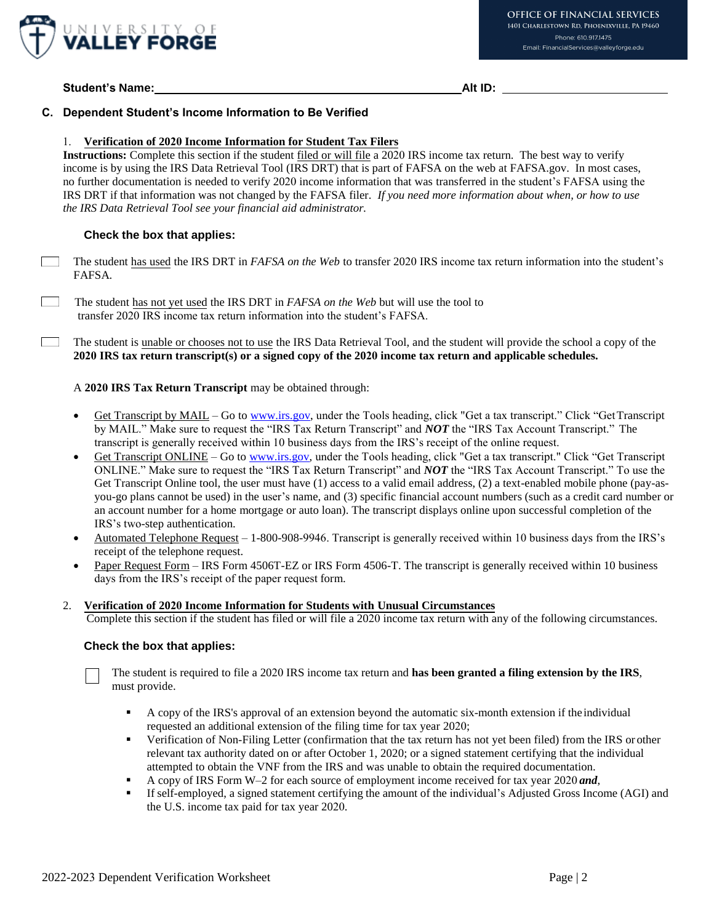

## **Student's Name: Alt ID:**

## **C. Dependent Student's Income Information to Be Verified**

#### 1. **Verification of 2020 Income Information for Student Tax Filers**

**Instructions:** Complete this section if the student filed or will file a 2020 IRS income tax return. The best way to verify income is by using the IRS Data Retrieval Tool (IRS DRT) that is part of FAFSA on the web at FAFSA.gov. In most cases, no further documentation is needed to verify 2020 income information that was transferred in the student's FAFSA using the IRS DRT if that information was not changed by the FAFSA filer. *If you need more information about when, or how to use the IRS Data Retrieval Tool see your financial aid administrator.*

#### **Check the box that applies:**

The student has used the IRS DRT in *FAFSA on the Web* to transfer 2020 IRS income tax return information into the student's FAFSA*.* 

The student has not yet used the IRS DRT in *FAFSA on the Web* but will use the tool to transfer 2020 IRS income tax return information into the student's FAFSA.

 $\mathcal{L}^{\text{max}}$ The student is unable or chooses not to use the IRS Data Retrieval Tool, and the student will provide the school a copy of the **2020 IRS tax return transcript(s) or a signed copy of the 2020 income tax return and applicable schedules.**

#### A **2020 IRS Tax Return Transcript** may be obtained through:

- Get Transcript by MAIL Go to [www.irs.gov, u](http://www.irs.gov/)nder the Tools heading, click "Get a tax transcript." Click "GetTranscript by MAIL." Make sure to request the "IRS Tax Return Transcript" and *NOT* the "IRS Tax Account Transcript." The transcript is generally received within 10 business days from the IRS's receipt of the online request.
- Get Transcript ONLINE Go to [www.irs.gov, u](http://www.irs.gov/)nder the Tools heading, click "Get a tax transcript." Click "Get Transcript ONLINE." Make sure to request the "IRS Tax Return Transcript" and *NOT* the "IRS Tax Account Transcript." To use the Get Transcript Online tool, the user must have (1) access to a valid email address, (2) a text-enabled mobile phone (pay-asyou-go plans cannot be used) in the user's name, and (3) specific financial account numbers (such as a credit card number or an account number for a home mortgage or auto loan). The transcript displays online upon successful completion of the IRS's two-step authentication.
- Automated Telephone Request 1-800-908-9946. Transcript is generally received within 10 business days from the IRS's receipt of the telephone request.
- Paper Request Form IRS Form 4506T-EZ or IRS Form 4506-T. The transcript is generally received within 10 business days from the IRS's receipt of the paper request form.

#### 2. **Verification of 2020 Income Information for Students with Unusual Circumstances**

Complete this section if the student has filed or will file a 2020 income tax return with any of the following circumstances.

#### **Check the box that applies:**

The student is required to file a 2020 IRS income tax return and **has been granted a filing extension by the IRS**, must provide.

- A copy of the IRS's approval of an extension beyond the automatic six-month extension if the individual requested an additional extension of the filing time for tax year 2020;
- Verification of Non-Filing Letter (confirmation that the tax return has not yet been filed) from the IRS or other relevant tax authority dated on or after October 1, 2020; or a signed statement certifying that the individual attempted to obtain the VNF from the IRS and was unable to obtain the required documentation.
- A copy of IRS Form W–2 for each source of employment income received for tax year 2020 *and*,<br>
If self-employed, a signed statement certifying the amount of the individual's Adjusted Gross Inco
- If self-employed, a signed statement certifying the amount of the individual's Adjusted Gross Income (AGI) and the U.S. income tax paid for tax year 2020.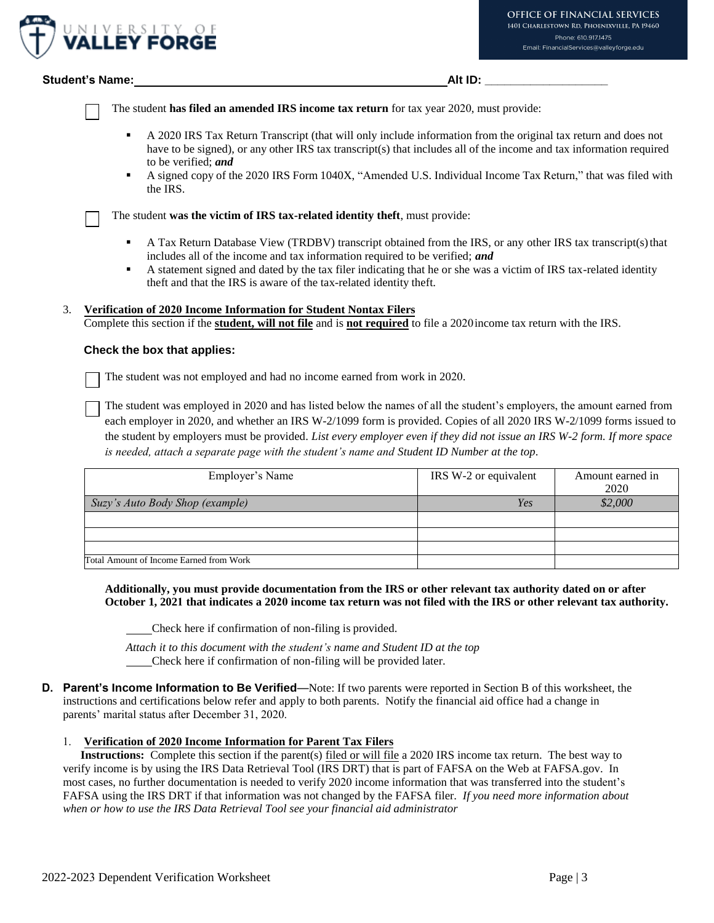

#### **Student's Name: Alt ID: \_\_\_\_\_\_\_\_\_\_\_\_\_\_\_\_\_\_\_**

The student **has filed an amended IRS income tax return** for tax year 2020, must provide:

- A 2020 IRS Tax Return Transcript (that will only include information from the original tax return and does not have to be signed), or any other IRS tax transcript(s) that includes all of the income and tax information required to be verified; *and*
- A signed copy of the 2020 IRS Form 1040X, "Amended U.S. Individual Income Tax Return," that was filed with the IRS.

The student **was the victim of IRS tax-related identity theft**, must provide:

- A Tax Return Database View (TRDBV) transcript obtained from the IRS, or any other IRS tax transcript(s) that includes all of the income and tax information required to be verified; *and*
- A statement signed and dated by the tax filer indicating that he or she was a victim of IRS tax-related identity theft and that the IRS is aware of the tax-related identity theft.

#### 3. **Verification of 2020 Income Information for Student Nontax Filers**

Complete this section if the **student, will not file** and is **not required** to file a 2020income tax return with the IRS.

#### **Check the box that applies:**

The student was not employed and had no income earned from work in 2020.

The student was employed in 2020 and has listed below the names of all the student's employers, the amount earned from each employer in 2020, and whether an IRS W-2/1099 form is provided. Copies of all 2020 IRS W-2/1099 forms issued to the student by employers must be provided. *List every employer even if they did not issue an IRS W-2 form. If more space is needed, attach a separate page with the student's name and Student ID Number at the top*.

| Employer's Name                         | IRS W-2 or equivalent | Amount earned in<br>2020 |
|-----------------------------------------|-----------------------|--------------------------|
| Suzy's Auto Body Shop (example)         | Yes                   | \$2,000                  |
|                                         |                       |                          |
|                                         |                       |                          |
|                                         |                       |                          |
| Total Amount of Income Earned from Work |                       |                          |

**Additionally, you must provide documentation from the IRS or other relevant tax authority dated on or after October 1, 2021 that indicates a 2020 income tax return was not filed with the IRS or other relevant tax authority.**

Check here if confirmation of non-filing is provided.

*Attach it to this document with the student's name and Student ID at the top*  Check here if confirmation of non-filing will be provided later.

**D. Parent's Income Information to Be Verified**—Note: If two parents were reported in Section B of this worksheet, the instructions and certifications below refer and apply to both parents. Notify the financial aid office had a change in parents' marital status after December 31, 2020.

#### 1. **Verification of 2020 Income Information for Parent Tax Filers**

**Instructions:** Complete this section if the parent(s) filed or will file a 2020 IRS income tax return. The best way to verify income is by using the IRS Data Retrieval Tool (IRS DRT) that is part of FAFSA on the Web at FAFSA.gov. In most cases, no further documentation is needed to verify 2020 income information that was transferred into the student's FAFSA using the IRS DRT if that information was not changed by the FAFSA filer. *If you need more information about when or how to use the IRS Data Retrieval Tool see your financial aid administrator*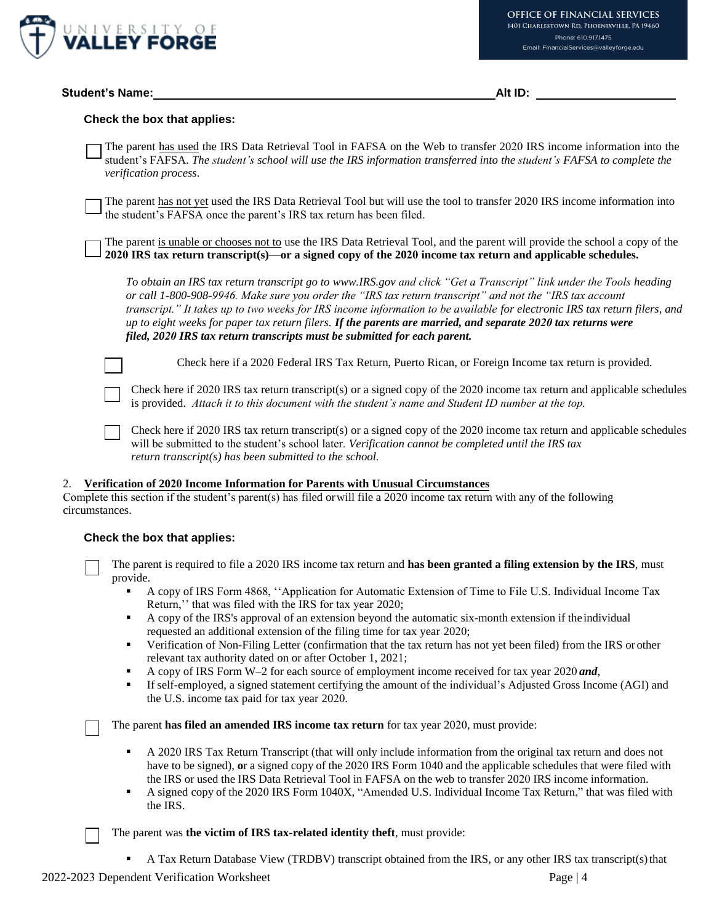

# **Check the box that applies:**

The parent has used the IRS Data Retrieval Tool in FAFSA on the Web to transfer 2020 IRS income information into the student's FAFSA. *The student's school will use the IRS information transferred into the student's FAFSA to complete the verification process*.

The parent has not yet used the IRS Data Retrieval Tool but will use the tool to transfer 2020 IRS income information into the student's FAFSA once the parent's IRS tax return has been filed.

The parent is unable or chooses not to use the IRS Data Retrieval Tool, and the parent will provide the school a copy of the **2020 IRS tax return transcript(s)**—**or a signed copy of the 2020 income tax return and applicable schedules.**

*To obtain an IRS tax return transcript go to [www.IRS.gov a](http://www.irs.gov/)nd click "Get a Transcript" link under the Tools heading or call 1-800-908-9946. Make sure you order the "IRS tax return transcript" and not the "IRS tax account transcript." It takes up to two weeks for IRS income information to be available for electronic IRS tax return filers, and up to eight weeks for paper tax return filers. If the parents are married, and separate 2020 tax returns were filed, 2020 IRS tax return transcripts must be submitted for each parent.*

Check here if a 2020 Federal IRS Tax Return, Puerto Rican, or Foreign Income tax return is provided.

Check here if 2020 IRS tax return transcript(s) or a signed copy of the 2020 income tax return and applicable schedules is provided. *Attach it to this document with the student's name and Student ID number at the top.* 

Check here if 2020 IRS tax return transcript(s) or a signed copy of the 2020 income tax return and applicable schedules will be submitted to the student's school later. *Verification cannot be completed until the IRS tax return transcript(s) has been submitted to the school.* 

#### 2. **Verification of 2020 Income Information for Parents with Unusual Circumstances**

Complete this section if the student's parent(s) has filed or will file a 2020 income tax return with any of the following circumstances.

# **Check the box that applies:**

The parent is required to file a 2020 IRS income tax return and **has been granted a filing extension by the IRS**, must provide.

- A copy of IRS Form 4868, ''Application for Automatic Extension of Time to File U.S. Individual Income Tax Return,'' that was filed with the IRS for tax year 2020;
- A copy of the IRS's approval of an extension beyond the automatic six-month extension if the individual requested an additional extension of the filing time for tax year 2020;
- Verification of Non-Filing Letter (confirmation that the tax return has not yet been filed) from the IRS or other relevant tax authority dated on or after October 1, 2021;
- A copy of IRS Form W–2 for each source of employment income received for tax year 2020 *and*,
- If self-employed, a signed statement certifying the amount of the individual's Adjusted Gross Income (AGI) and the U.S. income tax paid for tax year 2020.

The parent **has filed an amended IRS income tax return** for tax year 2020, must provide:

- A 2020 IRS Tax Return Transcript (that will only include information from the original tax return and does not have to be signed), **o**r a signed copy of the 2020 IRS Form 1040 and the applicable schedules that were filed with the IRS or used the IRS Data Retrieval Tool in FAFSA on the web to transfer 2020 IRS income information.
- A signed copy of the 2020 IRS Form 1040X, "Amended U.S. Individual Income Tax Return," that was filed with the IRS.

The parent was **the victim of IRS tax-related identity theft**, must provide:

A Tax Return Database View (TRDBV) transcript obtained from the IRS, or any other IRS tax transcript(s) that